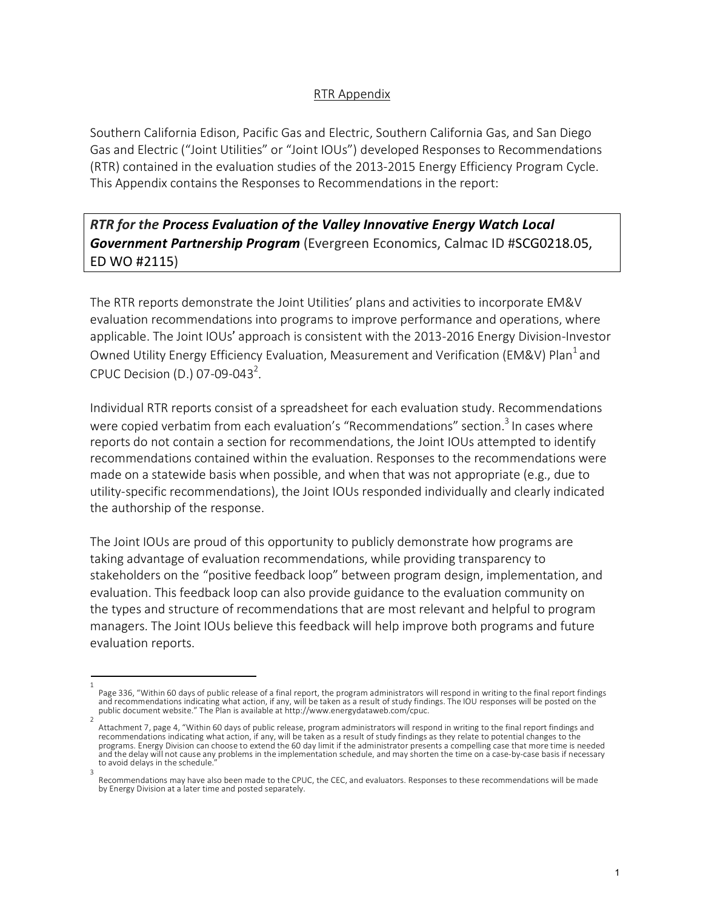## RTR Appendix

Southern California Edison, Pacific Gas and Electric, Southern California Gas, and San Diego Gas and Electric ("Joint Utilities" or "Joint IOUs") developed Responses to Recommendations (RTR) contained in the evaluation studies of the 2013-2015 Energy Efficiency Program Cycle. This Appendix contains the Responses to Recommendations in the report:

*RTR for the Process Evaluation of the Valley Innovative Energy Watch Local Government Partnership Program* (Evergreen Economics, Calmac ID #SCG0218.05, ED WO #2115)

The RTR reports demonstrate the Joint Utilities' plans and activities to incorporate EM&V evaluation recommendations into programs to improve performance and operations, where applicable. The Joint IOUs' approach is consistent with the 2013-2016 Energy Division-Investor Owned Utility Energy Efficiency Evaluation, Measurement and Verification (EM&V) Plan<sup>1</sup> and CPUC Decision (D.) 07-09-043<sup>2</sup>.

Individual RTR reports consist of a spreadsheet for each evaluation study. Recommendations were copied verbatim from each evaluation's "Recommendations" section.<sup>3</sup> In cases where reports do not contain a section for recommendations, the Joint IOUs attempted to identify recommendations contained within the evaluation. Responses to the recommendations were made on a statewide basis when possible, and when that was not appropriate (e.g., due to utility-specific recommendations), the Joint IOUs responded individually and clearly indicated the authorship of the response.

The Joint IOUs are proud of this opportunity to publicly demonstrate how programs are taking advantage of evaluation recommendations, while providing transparency to stakeholders on the "positive feedback loop" between program design, implementation, and evaluation. This feedback loop can also provide guidance to the evaluation community on the types and structure of recommendations that are most relevant and helpful to program managers. The Joint IOUs believe this feedback will help improve both programs and future evaluation reports.

<sup>1</sup>  Page 336, "Within 60 days of public release of a final report, the program administrators will respond in writing to the final report findings and recommendations indicating what action, if any, will be taken as a result of study findings. The IOU responses will be posted on the<br>public document website." The Plan is available at http://www.energydataweb.com/cpuc.

Attachment 7, page 4, "Within 60 days of public release, program administrators will respond in writing to the final report findings and recommendations indicating what action, if any, will be taken as a result of study findings as they relate to potential changes to the programs. Energy Division can choose to extend the 60 day limit if the administrator presents a compelling case that more time is needed and the delay will not cause any problems in the implementation schedule, and may shorten the time on a case-by-case basis if necessary to avoid delays in the schedule.

<sup>3</sup>  Recommendations may have also been made to the CPUC, the CEC, and evaluators. Responses to these recommendations will be made by Energy Division at a later time and posted separately.